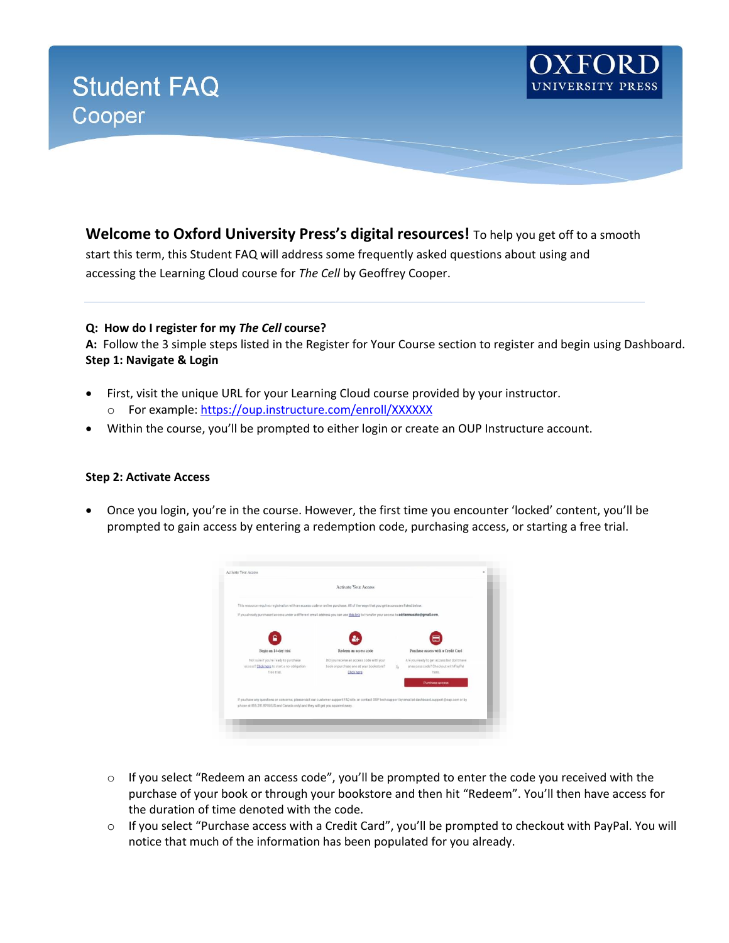

**Welcome to Oxford University Press's digital resources!** To help you get off to a smooth

start this term, this Student FAQ will address some frequently asked questions about using and accessing the Learning Cloud course for *The Cell* by Geoffrey Cooper.

## **Q: How do I register for my** *The Cell* **course?**

**A:** Follow the 3 simple steps listed in the Register for Your Course section to register and begin using Dashboard. **Step 1: Navigate & Login**

- First, visit the unique URL for your Learning Cloud course provided by your instructor. o For example[: https://oup.instructure.com/enroll/XXXXXX](https://oup.instructure.com/enroll/XXXXXX)
- Within the course, you'll be prompted to either login or create an OUP Instructure account.

### **Step 2: Activate Access**

• Once you login, you're in the course. However, the first time you encounter 'locked' content, you'll be prompted to gain access by entering a redemption code, purchasing access, or starting a free trial.



- $\circ$  If you select "Redeem an access code", you'll be prompted to enter the code you received with the purchase of your book or through your bookstore and then hit "Redeem". You'll then have access for the duration of time denoted with the code.
- o If you select "Purchase access with a Credit Card", you'll be prompted to checkout with PayPal. You will notice that much of the information has been populated for you already.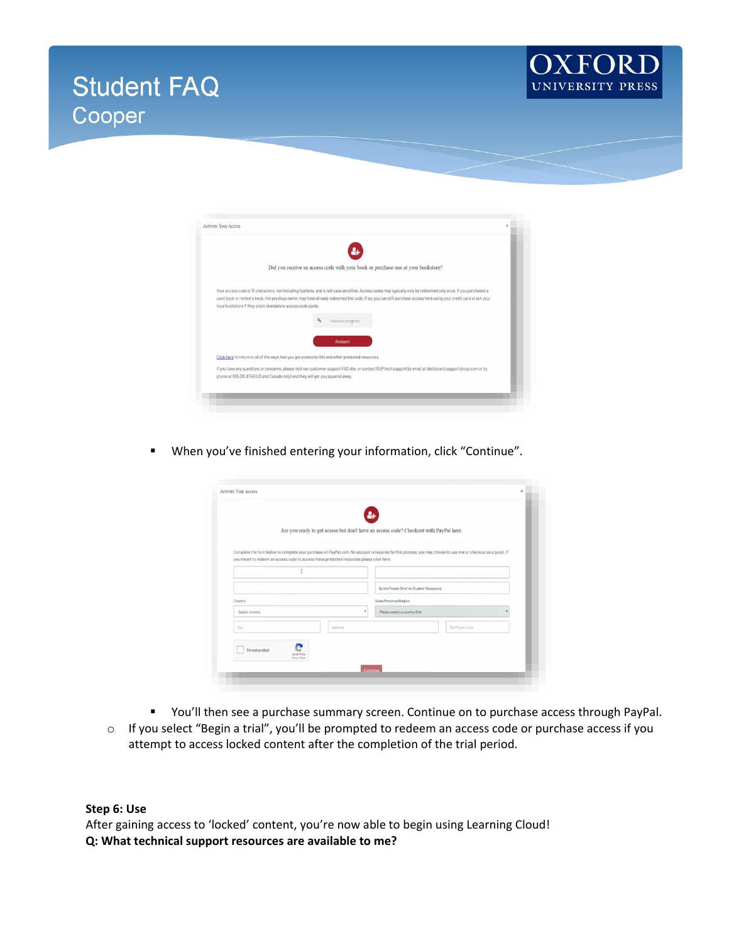





When you've finished entering your information, click "Continue".

|                                                                                           |  |         | Are you ready to get access but don't have an access code? Checkout with PayPal here.                                                                          |                 |  |
|-------------------------------------------------------------------------------------------|--|---------|----------------------------------------------------------------------------------------------------------------------------------------------------------------|-----------------|--|
| you meant to redeem an access code to access these protected resources please click here. |  |         | Complete the form below to complete your purchase on PayPal.com. No account is required for this process, you may choose to use one or checkout as a quest. If |                 |  |
| Country                                                                                   |  |         |                                                                                                                                                                |                 |  |
|                                                                                           |  |         | By the People Brief 4e Student Resources<br>State/Province/Region                                                                                              |                 |  |
|                                                                                           |  |         |                                                                                                                                                                |                 |  |
| City                                                                                      |  | Address |                                                                                                                                                                | Zip/Postal Code |  |

- You'll then see a purchase summary screen. Continue on to purchase access through PayPal.
- o If you select "Begin a trial", you'll be prompted to redeem an access code or purchase access if you attempt to access locked content after the completion of the trial period.

### **Step 6: Use**

After gaining access to 'locked' content, you're now able to begin using Learning Cloud! **Q: What technical support resources are available to me?**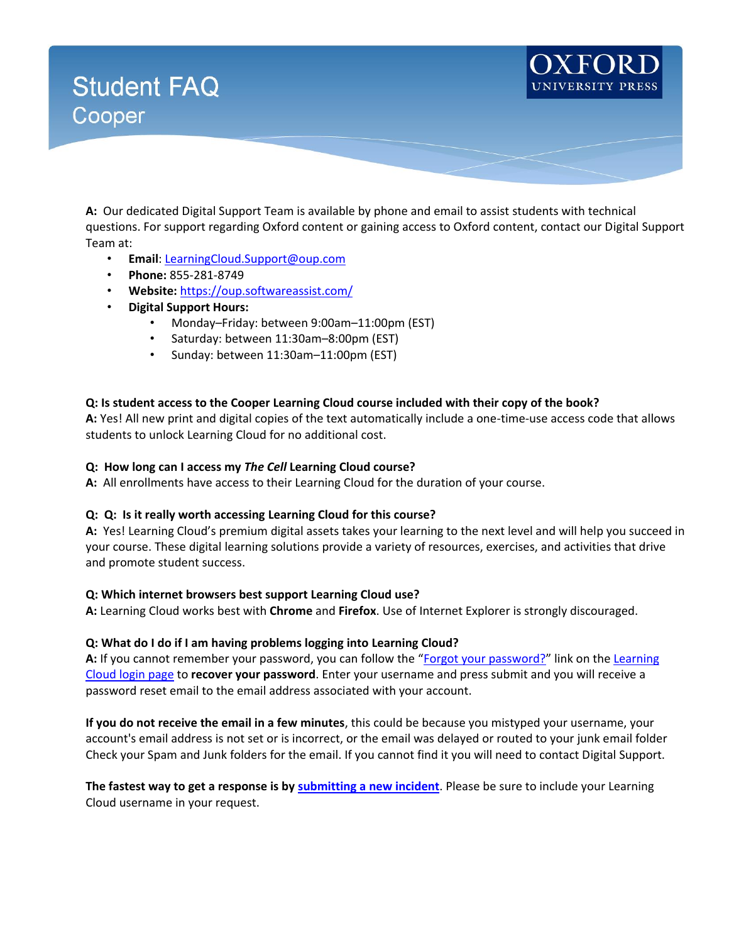

**A:** Our dedicated Digital Support Team is available by phone and email to assist students with technical questions. For support regarding Oxford content or gaining access to Oxford content, contact our Digital Support Team at:

- **Email**[: LearningCloud.Support@oup.com](mailto:LearningCloud.Support@oup.com)
- **Phone:** 855-281-8749
- **Website:** <https://oup.softwareassist.com/>
- **Digital Support Hours:**
	- Monday–Friday: between 9:00am–11:00pm (EST)
	- Saturday: between 11:30am–8:00pm (EST)
	- Sunday: between 11:30am–11:00pm (EST)

## **Q: Is student access to the Cooper Learning Cloud course included with their copy of the book?**

**A:** Yes! All new print and digital copies of the text automatically include a one-time-use access code that allows students to unlock Learning Cloud for no additional cost.

### **Q: How long can I access my** *The Cell* **Learning Cloud course?**

**A:** All enrollments have access to their Learning Cloud for the duration of your course.

## **Q: Q: Is it really worth accessing Learning Cloud for this course?**

**A:** Yes! Learning Cloud's premium digital assets takes your learning to the next level and will help you succeed in your course. These digital learning solutions provide a variety of resources, exercises, and activities that drive and promote student success.

## **Q: Which internet browsers best support Learning Cloud use?**

**A:** Learning Cloud works best with **Chrome** and **Firefox**. Use of Internet Explorer is strongly discouraged.

## **Q: What do I do if I am having problems logging into Learning Cloud?**

**A:** If you cannot remember your password, you can follow the "[Forgot your password?](https://dashboard.oup.com/d2l/lp/forgotPassword/forgotPassword.d2l)" link on the [Learning](https://dashboard.oup.com/d2l/login)  [Cloud login page](https://dashboard.oup.com/d2l/login) to **recover your password**. Enter your username and press submit and you will receive a password reset email to the email address associated with your account.

**If you do not receive the email in a few minutes**, this could be because you mistyped your username, your account's email address is not set or is incorrect, or the email was delayed or routed to your junk email folder Check your Spam and Junk folders for the email. If you cannot find it you will need to contact Digital Support.

**The fastest way to get a response is by [submitting a new incident](https://oup.softwareassist.com/CreateIncident.aspx)**. Please be sure to include your Learning Cloud username in your request.